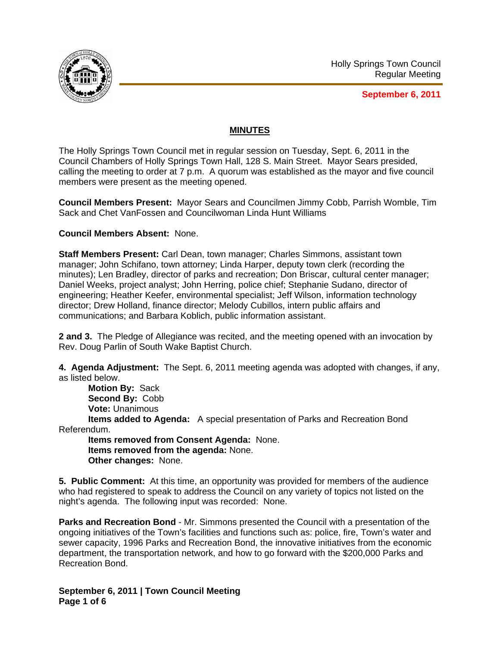

**September 6, 2011**

# **MINUTES**

The Holly Springs Town Council met in regular session on Tuesday, Sept. 6, 2011 in the Council Chambers of Holly Springs Town Hall, 128 S. Main Street. Mayor Sears presided, calling the meeting to order at 7 p.m. A quorum was established as the mayor and five council members were present as the meeting opened.

**Council Members Present:** Mayor Sears and Councilmen Jimmy Cobb, Parrish Womble, Tim Sack and Chet VanFossen and Councilwoman Linda Hunt Williams

### **Council Members Absent:** None.

**Staff Members Present:** Carl Dean, town manager; Charles Simmons, assistant town manager; John Schifano, town attorney; Linda Harper, deputy town clerk (recording the minutes); Len Bradley, director of parks and recreation; Don Briscar, cultural center manager; Daniel Weeks, project analyst; John Herring, police chief; Stephanie Sudano, director of engineering; Heather Keefer, environmental specialist; Jeff Wilson, information technology director; Drew Holland, finance director; Melody Cubillos, intern public affairs and communications; and Barbara Koblich, public information assistant.

**2 and 3.** The Pledge of Allegiance was recited, and the meeting opened with an invocation by Rev. Doug Parlin of South Wake Baptist Church.

**4. Agenda Adjustment:** The Sept. 6, 2011 meeting agenda was adopted with changes, if any, as listed below.

**Motion By:** Sack **Second By:** Cobb **Vote:** Unanimous

 **Items added to Agenda:** A special presentation of Parks and Recreation Bond Referendum.

**Items removed from Consent Agenda:** None. **Items removed from the agenda:** None. **Other changes:** None.

**5. Public Comment:** At this time, an opportunity was provided for members of the audience who had registered to speak to address the Council on any variety of topics not listed on the night's agenda. The following input was recorded: None.

**Parks and Recreation Bond** - Mr. Simmons presented the Council with a presentation of the ongoing initiatives of the Town's facilities and functions such as: police, fire, Town's water and sewer capacity, 1996 Parks and Recreation Bond, the innovative initiatives from the economic department, the transportation network, and how to go forward with the \$200,000 Parks and Recreation Bond.

**September 6, 2011 | Town Council Meeting Page 1 of 6**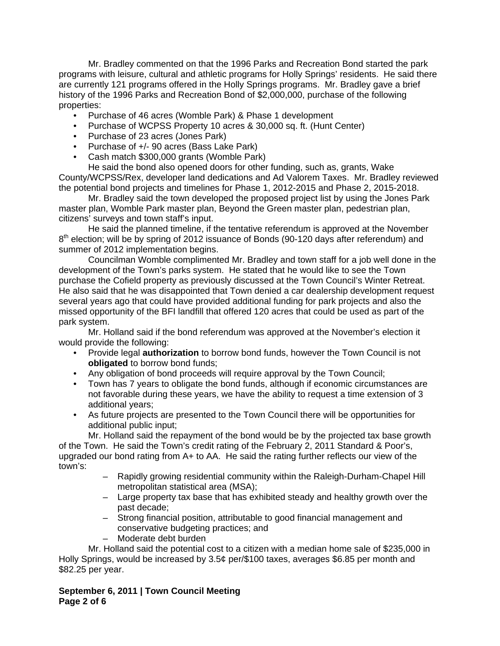Mr. Bradley commented on that the 1996 Parks and Recreation Bond started the park programs with leisure, cultural and athletic programs for Holly Springs' residents. He said there are currently 121 programs offered in the Holly Springs programs. Mr. Bradley gave a brief history of the 1996 Parks and Recreation Bond of \$2,000,000, purchase of the following properties:

- Purchase of 46 acres (Womble Park) & Phase 1 development
- Purchase of WCPSS Property 10 acres & 30,000 sq. ft. (Hunt Center)
- Purchase of 23 acres (Jones Park)
- Purchase of +/- 90 acres (Bass Lake Park)
- Cash match \$300,000 grants (Womble Park)

He said the bond also opened doors for other funding, such as, grants, Wake County/WCPSS/Rex, developer land dedications and Ad Valorem Taxes. Mr. Bradley reviewed the potential bond projects and timelines for Phase 1, 2012-2015 and Phase 2, 2015-2018.

Mr. Bradley said the town developed the proposed project list by using the Jones Park master plan, Womble Park master plan, Beyond the Green master plan, pedestrian plan, citizens' surveys and town staff's input.

He said the planned timeline, if the tentative referendum is approved at the November  $8<sup>th</sup>$  election; will be by spring of 2012 issuance of Bonds (90-120 days after referendum) and summer of 2012 implementation begins.

Councilman Womble complimented Mr. Bradley and town staff for a job well done in the development of the Town's parks system. He stated that he would like to see the Town purchase the Cofield property as previously discussed at the Town Council's Winter Retreat. He also said that he was disappointed that Town denied a car dealership development request several years ago that could have provided additional funding for park projects and also the missed opportunity of the BFI landfill that offered 120 acres that could be used as part of the park system.

Mr. Holland said if the bond referendum was approved at the November's election it would provide the following:

- Provide legal **authorization** to borrow bond funds, however the Town Council is not **obligated** to borrow bond funds;
- Any obligation of bond proceeds will require approval by the Town Council;
- Town has 7 years to obligate the bond funds, although if economic circumstances are not favorable during these years, we have the ability to request a time extension of 3 additional years;
- As future projects are presented to the Town Council there will be opportunities for additional public input;

Mr. Holland said the repayment of the bond would be by the projected tax base growth of the Town. He said the Town's credit rating of the February 2, 2011 Standard & Poor's, upgraded our bond rating from A+ to AA. He said the rating further reflects our view of the town's:

- Rapidly growing residential community within the Raleigh-Durham-Chapel Hill metropolitan statistical area (MSA);
- Large property tax base that has exhibited steady and healthy growth over the past decade;
- Strong financial position, attributable to good financial management and conservative budgeting practices; and
- Moderate debt burden

Mr. Holland said the potential cost to a citizen with a median home sale of \$235,000 in Holly Springs, would be increased by 3.5¢ per/\$100 taxes, averages \$6.85 per month and \$82.25 per year.

**September 6, 2011 | Town Council Meeting Page 2 of 6**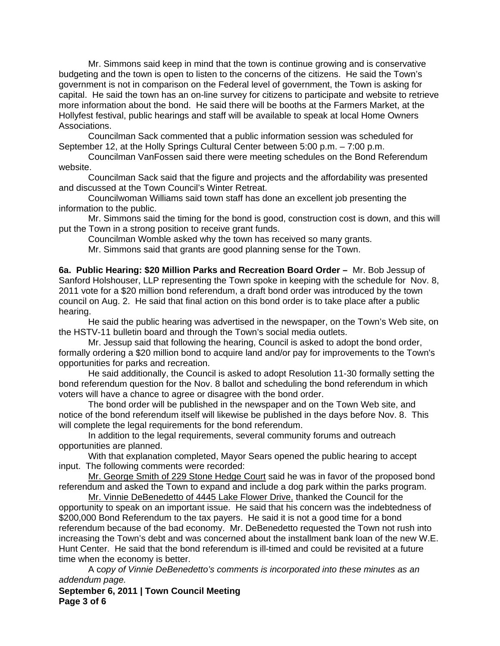Mr. Simmons said keep in mind that the town is continue growing and is conservative budgeting and the town is open to listen to the concerns of the citizens. He said the Town's government is not in comparison on the Federal level of government, the Town is asking for capital. He said the town has an on-line survey for citizens to participate and website to retrieve more information about the bond. He said there will be booths at the Farmers Market, at the Hollyfest festival, public hearings and staff will be available to speak at local Home Owners Associations.

Councilman Sack commented that a public information session was scheduled for September 12, at the Holly Springs Cultural Center between 5:00 p.m. – 7:00 p.m.

Councilman VanFossen said there were meeting schedules on the Bond Referendum website.

Councilman Sack said that the figure and projects and the affordability was presented and discussed at the Town Council's Winter Retreat.

Councilwoman Williams said town staff has done an excellent job presenting the information to the public.

Mr. Simmons said the timing for the bond is good, construction cost is down, and this will put the Town in a strong position to receive grant funds.

Councilman Womble asked why the town has received so many grants.

Mr. Simmons said that grants are good planning sense for the Town.

**6a. Public Hearing: \$20 Million Parks and Recreation Board Order –** Mr. Bob Jessup of Sanford Holshouser, LLP representing the Town spoke in keeping with the schedule for Nov. 8, 2011 vote for a \$20 million bond referendum, a draft bond order was introduced by the town council on Aug. 2. He said that final action on this bond order is to take place after a public hearing.

 He said the public hearing was advertised in the newspaper, on the Town's Web site, on the HSTV-11 bulletin board and through the Town's social media outlets.

 Mr. Jessup said that following the hearing, Council is asked to adopt the bond order, formally ordering a \$20 million bond to acquire land and/or pay for improvements to the Town's opportunities for parks and recreation.

 He said additionally, the Council is asked to adopt Resolution 11-30 formally setting the bond referendum question for the Nov. 8 ballot and scheduling the bond referendum in which voters will have a chance to agree or disagree with the bond order.

 The bond order will be published in the newspaper and on the Town Web site, and notice of the bond referendum itself will likewise be published in the days before Nov. 8. This will complete the legal requirements for the bond referendum.

 In addition to the legal requirements, several community forums and outreach opportunities are planned.

 With that explanation completed, Mayor Sears opened the public hearing to accept input. The following comments were recorded:

Mr. George Smith of 229 Stone Hedge Court said he was in favor of the proposed bond referendum and asked the Town to expand and include a dog park within the parks program.

Mr. Vinnie DeBenedetto of 4445 Lake Flower Drive, thanked the Council for the opportunity to speak on an important issue. He said that his concern was the indebtedness of \$200,000 Bond Referendum to the tax payers. He said it is not a good time for a bond referendum because of the bad economy. Mr. DeBenedetto requested the Town not rush into increasing the Town's debt and was concerned about the installment bank loan of the new W.E. Hunt Center. He said that the bond referendum is ill-timed and could be revisited at a future time when the economy is better.

A c*opy of Vinnie DeBenedetto's comments is incorporated into these minutes as an addendum page.*

**September 6, 2011 | Town Council Meeting Page 3 of 6**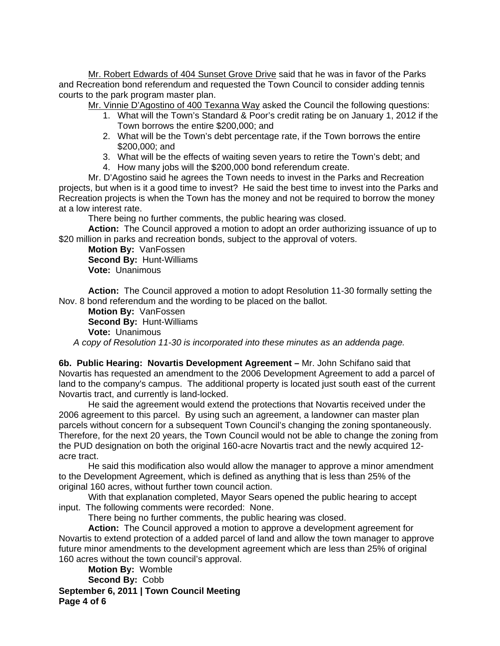Mr. Robert Edwards of 404 Sunset Grove Drive said that he was in favor of the Parks and Recreation bond referendum and requested the Town Council to consider adding tennis courts to the park program master plan.

Mr. Vinnie D'Agostino of 400 Texanna Way asked the Council the following questions:

- 1. What will the Town's Standard & Poor's credit rating be on January 1, 2012 if the Town borrows the entire \$200,000; and
- 2. What will be the Town's debt percentage rate, if the Town borrows the entire \$200,000; and
- 3. What will be the effects of waiting seven years to retire the Town's debt; and
- 4. How many jobs will the \$200,000 bond referendum create.

Mr. D'Agostino said he agrees the Town needs to invest in the Parks and Recreation projects, but when is it a good time to invest? He said the best time to invest into the Parks and Recreation projects is when the Town has the money and not be required to borrow the money at a low interest rate.

There being no further comments, the public hearing was closed.

**Action:** The Council approved a motion to adopt an order authorizing issuance of up to \$20 million in parks and recreation bonds, subject to the approval of voters.

**Motion By:** VanFossen **Second By:** Hunt-Williams **Vote:** Unanimous

**Action:** The Council approved a motion to adopt Resolution 11-30 formally setting the Nov. 8 bond referendum and the wording to be placed on the ballot.

**Motion By:** VanFossen **Second By:** Hunt-Williams **Vote:** Unanimous

*A copy of Resolution 11-30 is incorporated into these minutes as an addenda page.*

**6b. Public Hearing: Novartis Development Agreement –** Mr. John Schifano said that Novartis has requested an amendment to the 2006 Development Agreement to add a parcel of land to the company's campus. The additional property is located just south east of the current Novartis tract, and currently is land-locked.

 He said the agreement would extend the protections that Novartis received under the 2006 agreement to this parcel. By using such an agreement, a landowner can master plan parcels without concern for a subsequent Town Council's changing the zoning spontaneously. Therefore, for the next 20 years, the Town Council would not be able to change the zoning from the PUD designation on both the original 160-acre Novartis tract and the newly acquired 12 acre tract.

 He said this modification also would allow the manager to approve a minor amendment to the Development Agreement, which is defined as anything that is less than 25% of the original 160 acres, without further town council action.

With that explanation completed, Mayor Sears opened the public hearing to accept input. The following comments were recorded: None.

There being no further comments, the public hearing was closed.

**Action:** The Council approved a motion to approve a development agreement for Novartis to extend protection of a added parcel of land and allow the town manager to approve future minor amendments to the development agreement which are less than 25% of original 160 acres without the town council's approval.

**September 6, 2011 | Town Council Meeting Page 4 of 6 Motion By:** Womble **Second By:** Cobb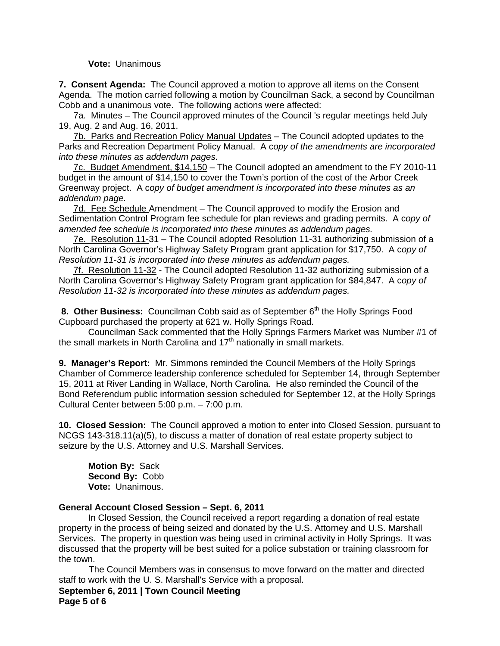#### **Vote:** Unanimous

**7. Consent Agenda:** The Council approved a motion to approve all items on the Consent Agenda. The motion carried following a motion by Councilman Sack, a second by Councilman Cobb and a unanimous vote. The following actions were affected:

7a. Minutes – The Council approved minutes of the Council 's regular meetings held July 19, Aug. 2 and Aug. 16, 2011.

7b. Parks and Recreation Policy Manual Updates – The Council adopted updates to the Parks and Recreation Department Policy Manual. A c*opy of the amendments are incorporated into these minutes as addendum pages.*

7c. Budget Amendment, \$14,150 – The Council adopted an amendment to the FY 2010-11 budget in the amount of \$14,150 to cover the Town's portion of the cost of the Arbor Creek Greenway project. A c*opy of budget amendment is incorporated into these minutes as an addendum page.*

7d. Fee Schedule Amendment – The Council approved to modify the Erosion and Sedimentation Control Program fee schedule for plan reviews and grading permits. A c*opy of amended fee schedule is incorporated into these minutes as addendum pages.*

7e. Resolution 11-31 – The Council adopted Resolution 11-31 authorizing submission of a North Carolina Governor's Highway Safety Program grant application for \$17,750. A c*opy of Resolution 11-31 is incorporated into these minutes as addendum pages.*

7f. Resolution 11-32 - The Council adopted Resolution 11-32 authorizing submission of a North Carolina Governor's Highway Safety Program grant application for \$84,847. A c*opy of Resolution 11-32 is incorporated into these minutes as addendum pages.*

8. Other Business: Councilman Cobb said as of September 6<sup>th</sup> the Holly Springs Food Cupboard purchased the property at 621 w. Holly Springs Road.

 Councilman Sack commented that the Holly Springs Farmers Market was Number #1 of the small markets in North Carolina and  $17<sup>th</sup>$  nationally in small markets.

**9. Manager's Report:** Mr. Simmons reminded the Council Members of the Holly Springs Chamber of Commerce leadership conference scheduled for September 14, through September 15, 2011 at River Landing in Wallace, North Carolina. He also reminded the Council of the Bond Referendum public information session scheduled for September 12, at the Holly Springs Cultural Center between 5:00 p.m. – 7:00 p.m.

**10. Closed Session:** The Council approved a motion to enter into Closed Session, pursuant to NCGS 143-318.11(a)(5), to discuss a matter of donation of real estate property subject to seizure by the U.S. Attorney and U.S. Marshall Services.

**Motion By:** Sack **Second By:** Cobb **Vote:** Unanimous.

### **General Account Closed Session – Sept. 6, 2011**

 In Closed Session, the Council received a report regarding a donation of real estate property in the process of being seized and donated by the U.S. Attorney and U.S. Marshall Services. The property in question was being used in criminal activity in Holly Springs. It was discussed that the property will be best suited for a police substation or training classroom for the town.

 The Council Members was in consensus to move forward on the matter and directed staff to work with the U. S. Marshall's Service with a proposal.

**September 6, 2011 | Town Council Meeting Page 5 of 6**